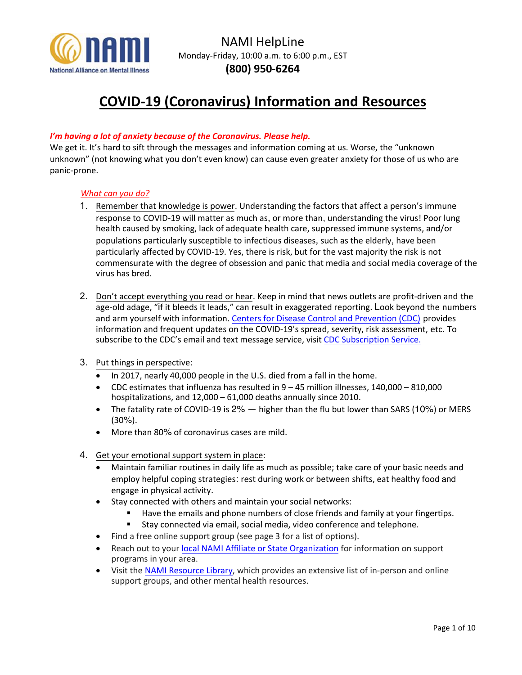

# **COVID-19 (Coronavirus) Information and Resources**

## *I'm having a lot of anxiety because of the Coronavirus. Please help.*

We get it. It's hard to sift through the messages and information coming at us. Worse, the "unknown" unknown" (not knowing what you don't even know) can cause even greater anxiety for those of us who are panic-prone.

### *What can you do?*

- 1. Remember that knowledge is power. Understanding the factors that affect a person's immune response to COVID-19 will matter as much as, or more than, understanding the virus! Poor lung health caused by smoking, lack of adequate health care, suppressed immune systems, and/or populations particularly susceptible to infectious diseases, such as the elderly, have been particularly affected by COVID-19. Yes, there is risk, but for the vast majority the risk is not commensurate with the degree of obsession and panic that media and social media coverage of the virus has bred.
- 2. Don't accept everything you read or hear. Keep in mind that news outlets are profit-driven and the age-old adage, "if it bleeds it leads," can result in exaggerated reporting. Look beyond the numbers and arm yourself with information. [Centers for Disease Control and Prevention \(CDC\)](https://www.cdc.gov/coronavirus/2019-nCoV/summary.html) provides information and frequent updates on the COVID-19's spread, severity, risk assessment, etc. To subscribe to the CDC's email and text message service, visit [CDC Subscription Service.](https://www.cdc.gov/other/emailupdates/index.html)
- 3. Put things in perspective:
	- In 2017, nearly 40,000 people in the U.S. died from a fall in the home.
	- CDC estimates that influenza has resulted in 9 45 million illnesses, 140,000 810,000 hospitalizations, and 12,000 – 61,000 deaths annually since 2010.
	- The fatality rate of COVID-19 is 2% higher than the flu but lower than SARS (10%) or MERS (30%).
	- More than 80% of coronavirus cases are mild.
- 4. Get your emotional support system in place:
	- Maintain familiar routines in daily life as much as possible; take care of your basic needs and employ helpful coping strategies: rest during work or between shifts, eat healthy food and engage in physical activity.
	- Stay connected with others and maintain your social networks:
		- Have the emails and phone numbers of close friends and family at your fingertips.
		- Stay connected via email, social media, video conference and telephone.
	- Find a free online support group (see page 3 for a list of options).
	- Reach out to your [local NAMI Affiliate or State Organization](https://www.nami.org/find-your-local-nami) for information on support programs in your area.
	- Visit th[e NAMI Resource Library,](https://www.nami.org/Find-Support/NAMI-HelpLine/NAMI-Resource-Library) which provides an extensive list of in-person and online support groups, and other mental health resources.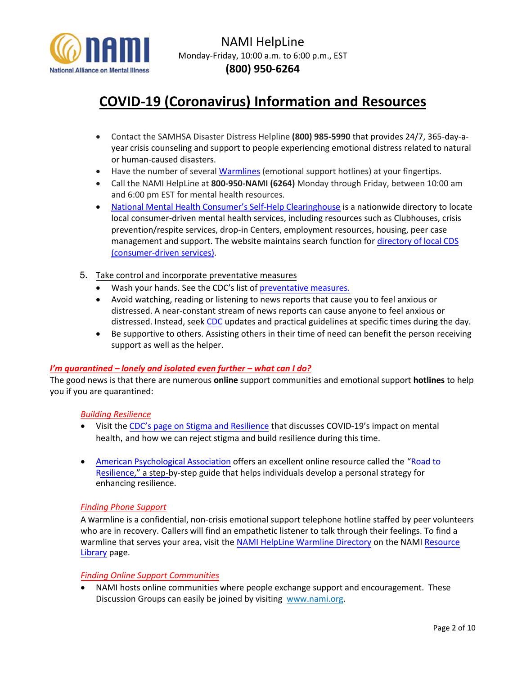

# **COVID-19 (Coronavirus) Information and Resources**

- Contact the SAMHSA Disaster Distress Helpline **(800) 985-5990** that provides 24/7, 365-day-ayear crisis counseling and support to people experiencing emotional distress related to natural or human-caused disasters.
- Have the number of several [Warmlines](https://www.nami.org/NAMI/media/NAMI-Media/BlogImageArchive/2020/NAMI-National-HelpLine-WarmLine-Directory-3-11-20.pdf) (emotional support hotlines) at your fingertips.
- Call the NAMI HelpLine at **800-950-NAMI (6264)** Monday through Friday, between 10:00 am and 6:00 pm EST for mental health resources.
- [National Mental Health C](http://www.mhselfhelp.org/)onsumer's Self-Help Clearinghouse is a nationwide directory to locate local consumer-driven mental health services, including resources such as Clubhouses, crisis prevention/respite services, drop-in Centers, employment resources, housing, peer case management and support. The website maintains search function fo[r directory of local CDS](http://www.cdsdirectory.org/) [\(consumer-driven services\).](http://www.cdsdirectory.org/)
- 5. Take control and incorporate preventative measures
	- Wash your hands. See the CDC's list of [preventative measures](https://www.cdc.gov/coronavirus/2019-ncov/about/prevention-treatment.html).
	- Avoid watching, reading or listening to news reports that cause you to feel anxious or distressed. A near-constant stream of news reports can cause anyone to feel anxious or distressed. Instead, seek [CDC](https://www.cdc.gov/coronavirus/2019-nCoV/summary.html) updates and practical guidelines at specific times during the day.
	- Be supportive to others. Assisting others in their time of need can benefit the person receiving support as well as the helper.

### *I'm quarantined – lonely and isolated even further – what can I do?*

The good news is that there are numerous **online** support communities and emotional support **hotlines** to help you if you are quarantined:

#### *Building Resilience*

- Visit the [CDC's page on Stigma and Resilience](https://www.cdc.gov/coronavirus/2019-ncov/about/related-stigma.html) that discusses COVID-19's impact on mental health, and how we can reject stigma and build resilience during this time.
- Am[erican Psychological Association](www.apa.org) offers an excellent online resource called the "Road to Resilience," a step[-by-step guide that helps individuals develop a personal strategy for](https://www.apa.org/helpcenter/road-resilience) enhancing resilience.

#### *Finding Phone Support*

A warmline is a confidential, non-crisis emotional support telephone hotline staffed by peer volunteers who are in recovery. Callers will find an empathetic listener to talk through their feelings. To find a warmline that serves your area, visit the [NAMI HelpLine Warmline Directory](https://www.nami.org/NAMI/media/NAMI-Media/BlogImageArchive/2020/NAMI-National-HelpLine-WarmLine-Directory-3-11-20.pdf) on the NAMI Resource Library page.

#### *Finding Online Support Communities*

NAMI hosts online communities where people exchange support and encouragement. These Discussion Groups can easily be joined by visiting [www.nami.org.](http://www.nami.org/)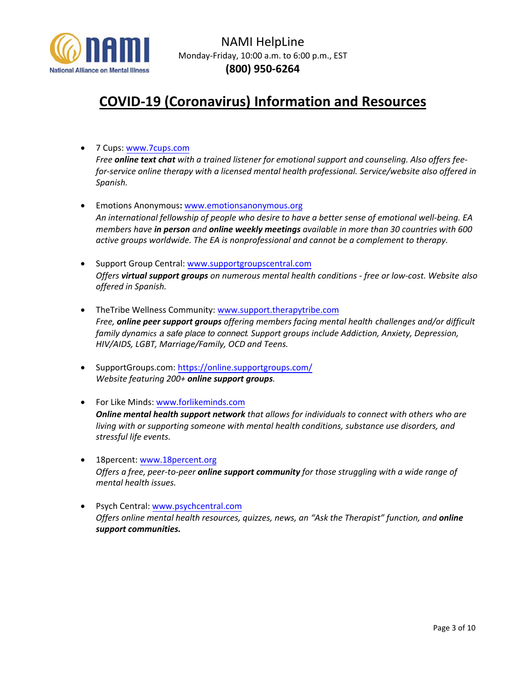

# **COVID-19 (Coronavirus) Information and Resources**

• 7 Cups[: www.7cups.com](http://www.7cups.com/)

*Free online text chat with a trained listener for emotional support and counseling. Also offers feefor-service online therapy with a licensed mental health professional. Service/website also offered in Spanish.*

- Emotions Anonymous**:** [www.emotionsanonymous.org](http://www.emotionsanonymous.org/) *An international fellowship of people who desire to have a better sense of emotional well-being. EA members have in person and online weekly meetings available in more than 30 countries with 600 active groups worldwide. The EA is nonprofessional and cannot be a complement to therapy.*
- Support Group Central[: www.supportgroupscentral.com](http://www.supportgroupscentral.com/) *Offers virtual support groups on numerous mental health conditions - free or low-cost. Website also offered in Spanish.*
- TheTribe Wellness Community[: www.support.therapytribe.com](http://www.support.therapytribe.com/) *Free, online peer support groups offering members facing mental health challenges and/or difficult family dynamics* a safe place to connect*. Support groups include Addiction, Anxiety, Depression, HIV/AIDS, LGBT, Marriage/Family, OCD and Teens.*
- SupportGroups.com: <https://online.supportgroups.com/> *Website featuring 200+ online support groups.*
- For Like Minds: [www.forlikeminds.com](http://www.forlikeminds.com/) *Online mental health support network that allows for individuals to connect with others who are living with or supporting someone with mental health conditions, substance use disorders, and stressful life events.*
- 18percent: [www.18percent.org](http://www.18percent.org/) *Offers a free, peer-to-peer online support community for those struggling with a wide range of mental health issues.*
- Psych Central[: www.psychcentral.com](http://www.psychcentral.com/) *Offers online mental health resources, quizzes, news, an "Ask the Therapist" function, and online support communities.*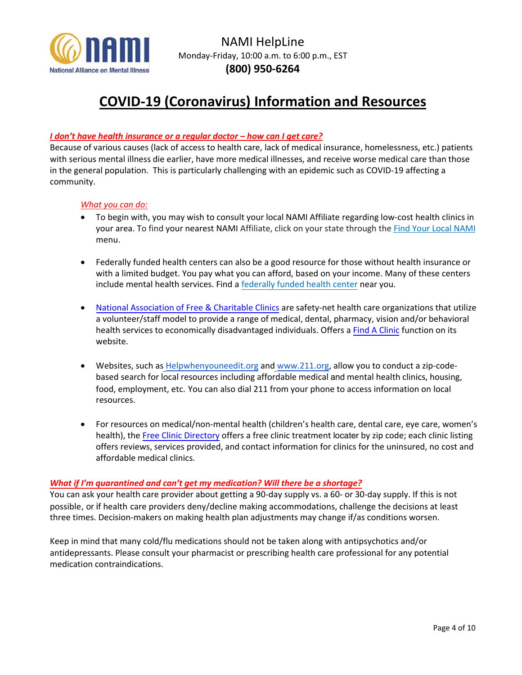

# **COVID-19 (Coronavirus) Information and Resources**

### *I don't have health insurance or a regular doctor – how can I get care?*

Because of various causes (lack of access to health care, lack of medical insurance, homelessness, etc.) patients with serious mental illness die earlier, have more medical illnesses, and receive worse medical care than those in the general population. This is particularly challenging with an epidemic such as COVID-19 affecting a community.

### *What you can do:*

- To begin with, you may wish to consult your local NAMI Affiliate regarding low-cost health clinics in your area. To find your nearest NAMI Affiliate, click on your state through the [Find Your Local NAMI](https://www.nami.org/Find-Your-Local-NAMI) menu.
- Federally funded health centers can also be a good resource for those without health insurance or with a limited budget. You pay what you can afford, based on your income. Many of these centers include mental health services. Find a [federally funded health center](http://findahealthcenter.hrsa.gov/) near you.
- [National Association of Free & Charitable Clinics](https://www.nafcclinics.org/) are safety-net health care organizations that utilize a volunteer/staff model to provide a range of medical, dental, pharmacy, vision and/or behavioral health services to economically disadvantaged individuals. Offers a [Find A Clinic](https://www.nafcclinics.org/find-clinic) function on its website.
- Websites, such a[s Helpwhenyouneedit.org](http://helpwhenyouneedit.org/) an[d www.211.org,](http://www.211.org/) allow you to conduct a zip-codebased search for local resources including affordable medical and mental health clinics, housing, food, employment, etc. You can also dial 211 from your phone to access information on local resources.
- For resources on medical/non-mental health (children's health care, dental care, eye care, women's health), the [Free Clinic Directory](http://www.freeclinicdirectory.org/) offers a free clinic treatment locater by zip code; each clinic listing offers reviews, services provided, and contact information for clinics for the uninsured, no cost and affordable medical clinics.

### *What if I'm quarantined and can't get my medication? Will there be a shortage?*

You can ask your health care provider about getting a 90-day supply vs. a 60- or 30-day supply. If this is not possible, or if health care providers deny/decline making accommodations, challenge the decisions at least three times. Decision-makers on making health plan adjustments may change if/as conditions worsen.

Keep in mind that many cold/flu medications should not be taken along with antipsychotics and/or antidepressants. Please consult your pharmacist or prescribing health care professional for any potential medication contraindications.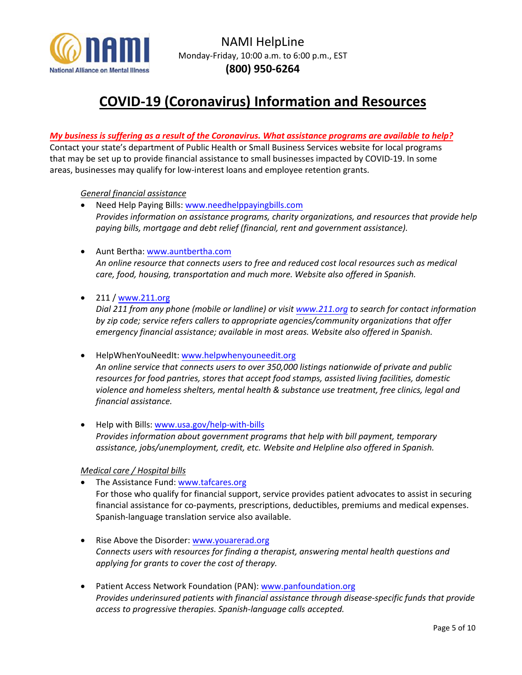

# **COVID-19 (Coronavirus) Information and Resources**

### *My business is suffering as a result of the Coronavirus. What assistance programs are available to help?*

Contact your state's department of Public Health or Small Business Services website for local programs that may be set up to provide financial assistance to small businesses impacted by COVID-19. In some areas, businesses may qualify for low-interest loans and employee retention grants.

### *General financial assistance*

- Need Help Paying Bills: [www.needhelppayingbills.com](http://www.needhelppayingbills.com/) *Provides information on assistance programs, charity organizations, and resources that provide help paying bills, mortgage and debt relief (financial, rent and government assistance).*
- Aunt Bertha: [www.auntbertha.com](http://www.auntbertha.com/) *An online resource that connects users to free and reduced cost local resources such as medical care, food, housing, transportation and much more. Website also offered in Spanish.*
- 211 [/ www.211.org](http://www.211.org/)

*Dial 211 from any phone (mobile or landline) or visit [www.211.org](http://www.211.org/) to search for contact information by zip code; service refers callers to appropriate agencies/community organizations that offer emergency financial assistance; available in most areas. Website also offered in Spanish.*

- HelpWhenYouNeedIt: [www.helpwhenyouneedit.org](http://www.helpwhenyouneedit.org/) *An online service that connects users to over 350,000 listings nationwide of private and public resources for food pantries, stores that accept food stamps, assisted living facilities, domestic violence and homeless shelters, mental health & substance use treatment, free clinics, legal and financial assistance.*
- Help with Bills[: www.usa.gov/help-with-bills](http://www.usa.gov/help-with-bills) *Provides information about government programs that help with bill payment, temporary assistance, jobs/unemployment, credit, etc. Website and Helpline also offered in Spanish.*

### *Medical care / Hospital bills*

- The Assistance Fund[: www.tafcares.org](http://www.tafcares.org/) For those who qualify for financial support, service provides patient advocates to assist in securing financial assistance for co-payments, prescriptions, deductibles, premiums and medical expenses. Spanish-language translation service also available.
- Rise Above the Disorder: [www.youarerad.org](http://www.youarerad.org/) *Connects users with resources for finding a therapist, answering mental health questions and applying for grants to cover the cost of therapy.*
- Patient Access Network Foundation (PAN)[: www.panfoundation.org](http://www.panfoundation.org/) *Provides underinsured patients with financial assistance through disease-specific funds that provide access to progressive therapies. Spanish-language calls accepted.*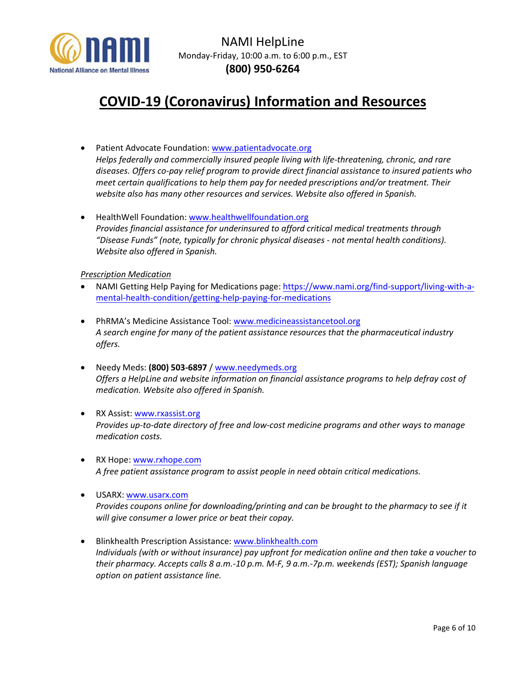

# **COVID-19 (Coronavirus) Information and Resources**

- Patient Advocate Foundation: [www.patientadvocate.org](http://www.patientadvocate.org/) *Helps federally and commercially insured people living with life-threatening, chronic, and rare diseases. Offers co-pay relief program to provide direct financial assistance to insured patients who meet certain qualifications to help them pay for needed prescriptions and/or treatment. Their website also has many other resources and services. Website also offered in Spanish.*
- HealthWell Foundation: [www.healthwellfoundation.org](http://www.healthwellfoundation.org/) *Provides financial assistance for underinsured to afford critical medical treatments through "Disease Funds" (note, typically for chronic physical diseases - not mental health conditions). Website also offered in Spanish.*

### *Prescription Medication*

- NAMI Getting Help Paying for Medications page: https://www.nami.org/find-support/living-with-a[mental-health-condition/getting-help-paying-for-medications](https://www.nami.org/find-support/living-with-a-mental-health-condition/getting-help-paying-for-medications)
- PhRMA's Medicine Assistance Tool: [www.medicineassistancetool.org](http://www.medicineassistancetool.org/) *A search engine for many of the patient assistance resources that the pharmaceutical industry offers.*
- Needy Meds: **(800) 503-6897** /<www.needymeds.org> *Offers a HelpLine and website information on financial assistance programs to help defray cost of medication. Website also offered in Spanish.*
- RX Assist: [www.rxassist.org](http://www.rxassist.org/) *Provides up-to-date directory of free and low-cost medicine programs and other ways to manage medication costs.*
- RX Hope: [www.rxhope.com](https://www.rxhope.com/) *A free patient assistance program to assist people in need obtain critical medications.*
- USARX: [www.usarx.com](https://www.usarx.com/) *Provides coupons online for downloading/printing and can be brought to the pharmacy to see if it will give consumer a lower price or beat their copay.*
- Blinkhealth Prescription Assistance: [www.blinkhealth.com](https://www.blinkhealth.com/) *Individuals (with or without insurance) pay upfront for medication online and then take a voucher to their pharmacy. Accepts calls 8 a.m.-10 p.m. M-F, 9 a.m.-7p.m. weekends (EST); Spanish language option on patient assistance line.*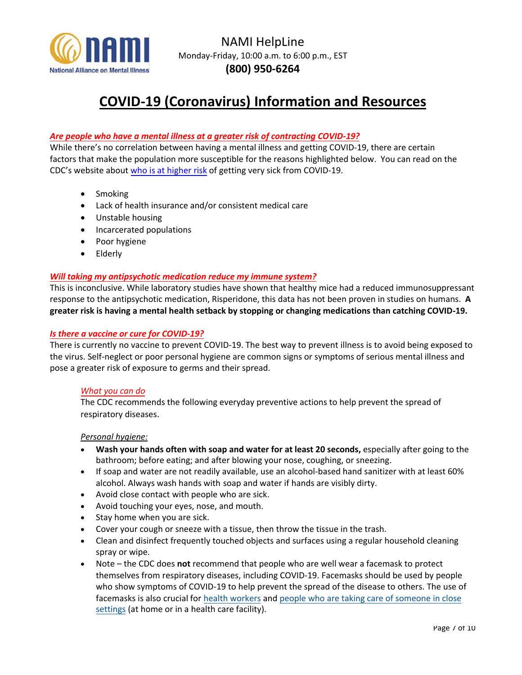

# **COVID-19 (Coronavirus) Information and Resources**

### *Are people who have a mental illness at a greater risk of contracting COVID-19?*

While there's no correlation between having a mental illness and getting COVID-19, there are certain factors that make the population more susceptible for the reasons highlighted below. You can read on the CDC's website about [who is at higher risk](https://www.cdc.gov/coronavirus/2019-ncov/specific-groups/high-risk-complications.html#who-is-higher-risk) of getting very sick from COVID-19.

- Smoking
- Lack of health insurance and/or consistent medical care
- Unstable housing
- Incarcerated populations
- Poor hygiene
- Elderly

### *Will taking my antipsychotic medication reduce my immune system?*

This is inconclusive. While laboratory studies have shown that healthy mice had a reduced immunosuppressant response to the antipsychotic medication, Risperidone, this data has not been proven in studies on humans. **A greater risk is having a mental health setback by stopping or changing medications than catching COVID-19.** 

### *Is there a vaccine or cure for COVID-19?*

There is currently no vaccine to prevent COVID-19. The best way to prevent illness is to avoid being exposed to the virus. Self-neglect or poor personal hygiene are common signs or symptoms of serious mental illness and pose a greater risk of exposure to germs and their spread.

### *What you can do*

The CDC recommends the following everyday preventive actions to help prevent the spread of respiratory diseases.

#### *Personal hygiene:*

- **Wash your hands often with soap and water for at least 20 seconds,** especially after going to the bathroom; before eating; and after blowing your nose, coughing, or sneezing.
- If soap and water are not readily available, use an alcohol-based hand sanitizer with at least 60% alcohol. Always wash hands with soap and water if hands are visibly dirty.
- Avoid close contact with people who are sick.
- Avoid touching your eyes, nose, and mouth.
- Stay home when you are sick.
- Cover your cough or sneeze with a tissue, then throw the tissue in the trash.
- Clean and disinfect frequently touched objects and surfaces using a regular household cleaning spray or wipe.
- Note the CDC does **not** recommend that people who are well wear a facemask to protect themselves from respiratory diseases, including COVID-19. Facemasks should be used by people who show symptoms of COVID-19 to help prevent the spread of the disease to others. The use of facemasks is also crucial for [health workers](https://www.cdc.gov/coronavirus/2019-nCoV/hcp/infection-control.html) an[d people who are taking care of someone in close](https://www.cdc.gov/coronavirus/2019-ncov/hcp/guidance-home-care.html) [settings](https://www.cdc.gov/coronavirus/2019-ncov/hcp/guidance-home-care.html) (at home or in a health care facility).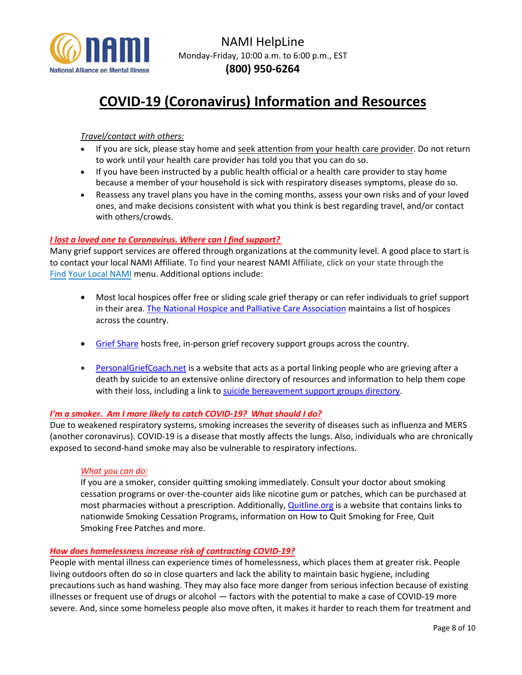

# **COVID-19 (Coronavirus) Information and Resources**

## *Travel/contact with others:*

- If you are sick, please stay home and seek attention from your health care provider. Do not return to work until your health care provider has told you that you can do so.
- If you have been instructed by a public health official or a health care provider to stay home because a member of your household is sick with respiratory diseases symptoms, please do so.
- Reassess any travel plans you have in the coming months, assess your own risks and of your loved ones, and make decisions consistent with what you think is best regarding travel, and/or contact with others/crowds.

### *I lost a loved one to Coronavirus. Where can I find support?*

Many grief support services are offered through organizations at the community level. A good place to start is to contact your local NAMI Affiliate. To find your nearest NAMI Affiliate, click on your state through th[e](https://www.nami.org/Find-Your-Local-NAMI)  [Find Your Local N](https://www.nami.org/Find-Your-Local-NAMI)AMI menu. Additional options include:

- Most local hospices offer free or sliding scale grief therapy or can refer individuals to grief support in their area. The [National Hospice and Palliative Care Association](https://www.nhpco.org/find-hospice) maintains a list of hospices across the country.
- [Grief Share](https://www.griefshare.org/findagroup) hosts free, in-person grief recovery support groups across the country.
- [PersonalGriefCoach.net](http://www.personalgriefcoach.net/) is a website that acts as a portal linking people who are grieving after a death by suicide to an extensive online directory of resources and information to help them cope with their loss, including a link to [suicide bereavement support groups directory.](http://www.personalgriefcoach.net/support-groups.html)

### *I'm a smoker. Am I more likely to catch COVID-19? What should I do?*

Due to weakened respiratory systems, smoking increases the severity of diseases such as influenza and MERS (another coronavirus). COVID-19 is a disease that mostly affects the lungs. Also, individuals who are chronically exposed to second-hand smoke may also be vulnerable to respiratory infections.

### *What you can do:*

If you are a smoker, consider quitting smoking immediately. Consult your doctor about smoking cessation programs or over-the-counter aids like nicotine gum or patches, which can be purchased at most pharmacies without a prescription. Additionally, [Quitline.org](http://quitline.org/) is a website that contains links to nationwide Smoking Cessation Programs, information on How to Quit Smoking for Free, Quit Smoking Free Patches and more.

### *How does homelessness increase risk of contracting COVID-19?*

People with mental illness can experience times of homelessness, which places them at greater risk. People living outdoors often do so in close quarters and lack the ability to maintain basic hygiene, including precautions such as hand washing. They may also face more danger from serious infection because of existing illnesses or frequent use of drugs or alcohol — factors with the potential to make a case of COVID-19 more severe. And, since some homeless people also move often, it makes it harder to reach them for treatment and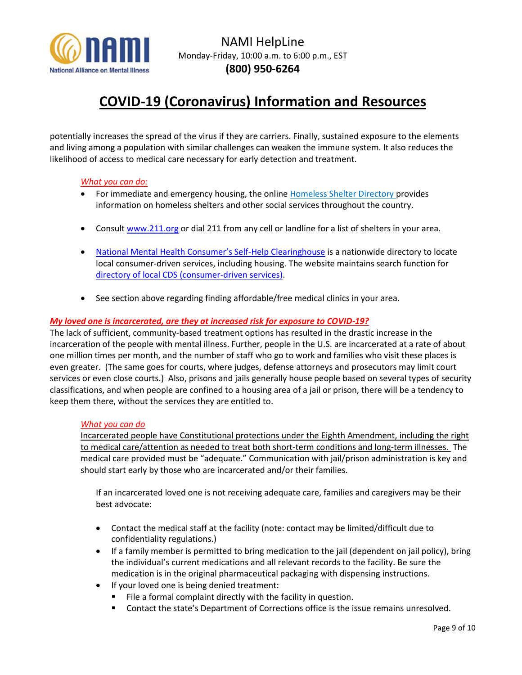

# **COVID-19 (Coronavirus) Information and Resources**

potentially increases the spread of the virus if they are carriers. Finally, sustained exposure to the elements and living among a population with similar challenges can weaken the immune system. It also reduces the likelihood of access to medical care necessary for early detection and treatment.

### *What you can do:*

- For immediate and emergency housing, the online [Homeless Shelter Directory](http://www.homelessshelterdirectory.org/) provides information on homeless shelters and other social services throughout the country.
- Consul[t www.211.org](http://www.211.org/) or dial 211 from any cell or landline for a list of shelters in your area.
- National Mental [Health Consumer's Self](http://www.mhselfhelp.org/)-Help Clearinghouse is a nationwide directory to locate local consumer-driven services, including housing. The website maintains search function for [directory of local CDS \(consumer-driven services\).](http://www.cdsdirectory.org/)
- See section above regarding finding affordable/free medical clinics in your area.

### *My loved one is incarcerated, are they at increased risk for exposure to COVID-19?*

The lack of sufficient, community-based treatment options has resulted in the drastic increase in the incarceration of the people with mental illness. Further, people in the U.S. are incarcerated at a rate of about one million times per month, and the number of staff who go to work and families who visit these places is even greater. (The same goes for courts, where judges, defense attorneys and prosecutors may limit court services or even close courts.) Also, prisons and jails generally house people based on several types of security classifications, and when people are confined to a housing area of a jail or prison, there will be a tendency to keep them there, without the services they are entitled to.

### *What you can do*

Incarcerated people have Constitutional protections under the Eighth Amendment, including the right to medical care/attention as needed to treat both short-term conditions and long-term illnesses. The medical care provided must be "adequate." Communication with jail/prison administration is key and should start early by those who are incarcerated and/or their families.

If an incarcerated loved one is not receiving adequate care, families and caregivers may be their best advocate:

- Contact the medical staff at the facility (note: contact may be limited/difficult due to confidentiality regulations.)
- If a family member is permitted to bring medication to the jail (dependent on jail policy), bring the individual's current medications and all relevant records to the facility. Be sure the medication is in the original pharmaceutical packaging with dispensing instructions.
- If your loved one is being denied treatment:
	- File a formal complaint directly with the facility in question.
	- **•** Contact the state's Department of Corrections office is the issue remains unresolved.